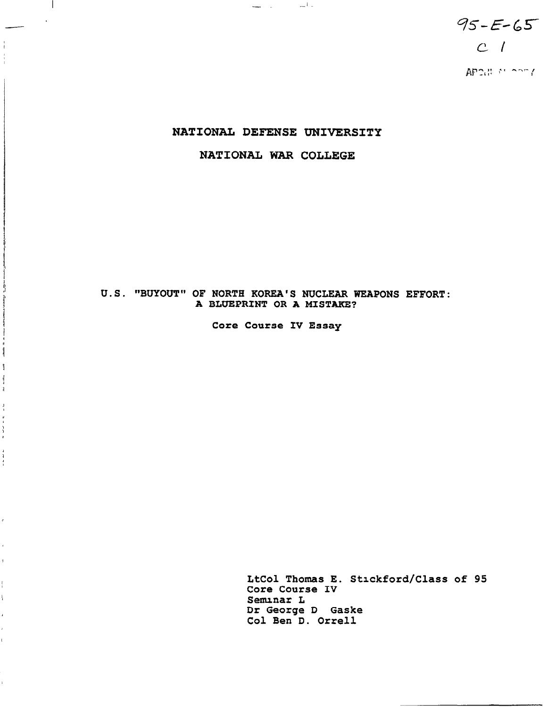$95 - E - 65$  $c<sub>1</sub>$ APOB MICORY

# NATIONAL DEFENSE UNIVERSITY

 $\frac{1}{2} \frac{1}{2} \left( \frac{1}{2} \left( \frac{1}{2} \right) \right) \left( \frac{1}{2} \left( \frac{1}{2} \right) \right) \left( \frac{1}{2} \right) \left( \frac{1}{2} \right)$ 

 $\mathbf{I}$ 

Î Ĵ  $-$  and  $\mathbf{1}$ 

 $\frac{6}{4}$ 

> $\overline{1}$  $\frac{4}{3}$

> ¥.

 $\mathbf{1}$ 

 $\mathbf{I}$  $\bar{\xi}$ 

# NATIONAL WAR COLLEGE

# U.S. "BUYOUT" OF NORTH KOREA'S NUCLEAR WEAPONS EFFORT: A BLUEPRINT OR A MISTAKE?

Core Course IV Essay

LtCol Thomas E. Stlckford/Class of 95 Core Course IV Seminar L Dr George D Gaske Co1 Ben D. Orrell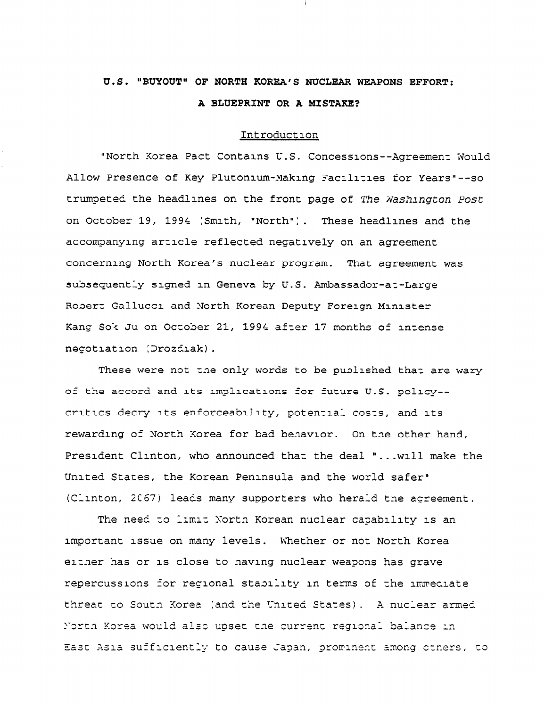# U.S. "BUYOUT" OF NORTH KOREA'S NUCLEAR WEAPONS EFFORT: A BLUEPRINT OR A MISTAKE?

#### Introduction

"North Korea Pact Contains U.S. Concessions--Agreement Would Allow Presence of Key Plutonium-Making Facilities for Years"--so trumpeted the headlines on the front page of The Washington Post on October 19, 1994 (Smith, "North"). These headlines and the accompanying article reflected negatively on an agreement concerning North Korea's nuclear program. That agreement was subsequently signed in Geneva by U.S. Ambassador-at-Large Robert Gallucci and North Korean Deputy Foreign Minister Kang Sok Ju on October 21, 1994 after 17 months of intense negotiation (Drozdiak).

These were not the only words to be published that are wary of the accord and its implications for future U.S. policy-critics decry its enforceability, potential costs, and its rewarding of North Korea for bad behavior. On the other hand, President Clinton, who announced that the deal "... will make the United States, the Korean Peninsula and the world safer" (Clinton, 2067) leads many supporters who herald the agreement.

The need to limit North Korean nuclear capability is an important issue on many levels. Whether or not North Korea either has or is close to having nuclear weapons has grave repercussions for regional stability in terms of the immeciate threat to South Korea (and the United States). A nuclear armed North Korea would also upset the current regional balance in East Asia sufficiently to cause Japan, prominent among ctners, to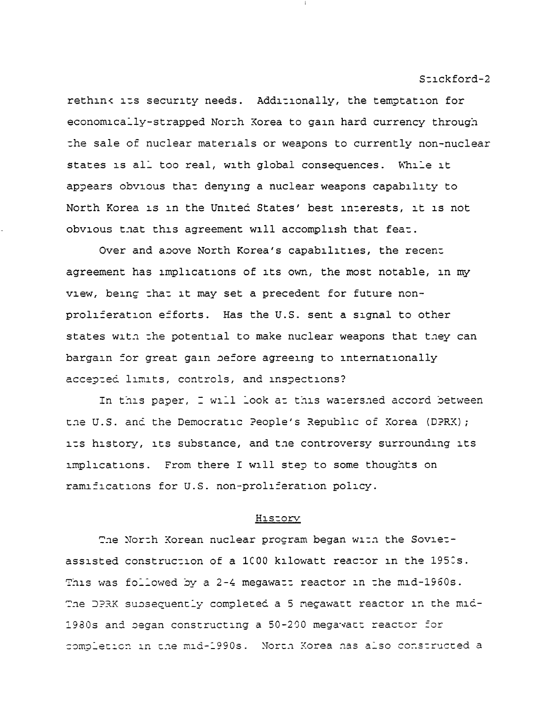rethink its security needs. Additionally, the temptation for economically-strapped North Korea to gain hard currency through the sale of nuclear materials or weapons to currently non-nuclear states is all too real, with global consequences. While it appears obvious that denying a nuclear weapons capability to North Korea is in the United States' best interests, it is not obvious that this agreement will accomplish that feat.

Over and above North Korea's capabilities, the recent agreement has implications of its own, the most notable, in my view, being that it may set a precedent for future nonproliferation efforts. Has the U.S. sent a signal to other states with the potential to make nuclear weapons that they can bargain for great gain before agreeing to internationally accepted limits, controls, and inspections?

In this paper, I will look at this watershed accord between the U.S. and the Democratic People's Republic of Korea (DPRK); its history, its substance, and the controversy surrounding its implications. From there I will step to some thoughts on ramifications for U.S. non-proliferation policy.

#### History

The North Korean nuclear program began with the Sovietassisted construction of a 1000 kilowatt reactor in the 1950s. This was followed by a 2-4 megawatt reactor in the mid-1960s. The DPRK subsequently completed a 5 megawatt reactor in the mid-1980s and began constructing a 50-200 megavatt reactor for completion in the mid-1990s. North Korea has also constructed a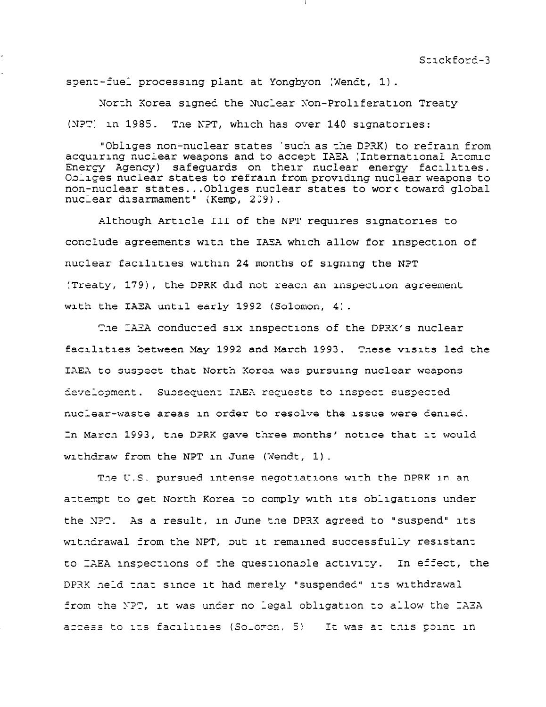spent-fuel processing plant at Yongbyon (Wendt, 1).

Xorzh Korea signed the Xuclear Son-Proliferation Treaty  $(NPT)$  in 1985. The NPT, which has over 140 signatories:

"Obliges non-nuclear states 'such as the DPRK) to refrain from acquiring nuclear weapons and to accept IAEA (International Aromic Energy Agency) safeguards on their nuclear energy facilities. Obliges nuclear states to refrain from providing nuclear weapons to non-nuclear states.. .Obllges nuclear states to war< toward global nuclear disarmament" (Kemp, 209).

Although Article III of the NPT requires signatories to conclude agreements with the IASA which allow for inspection of nuclear facilities within 24 months of signing the NPT :Treaty, 1791, the DPRK did not reacn an inspection agreement with the IAEA until early 1992 (Solomon, 4).

The IAEA conducted six inspections of the DPRK's nuclear facilities between May 1992 and March 1993. These visits led the IAEA to suspect that North Korea was pursuing nuclear weapons development. Sussequent IAEA requests to inspect suspected nuclear-waste areas in order to resolve the issue were denied. In March 1993, the DPRK gave three months' notice that it would withdraw from the NPT in June (Wendt, 1).

The U.S. pursued intense negotiations with the DPRK in an attempt to get North Korea to comply with its obligations under the NPT. As a result, in June the DPRK agreed to "suspend" its withdrawal from the NPT, but it remained successfully resistant to IAEA inspections of the questionable activity. In effect, the DPRK .neld that since it had merely "suspended" its withdrawal from the NPT, it was under no legal obligation to allow the IAEA access to its facilities (Soloron, 5) It was at this point in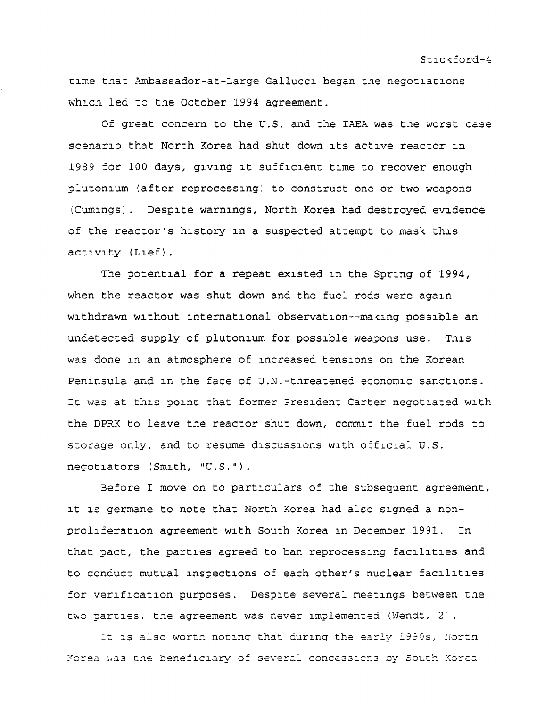time that Ambassador-at-Large Gallucci began the negotiations which led to the October 1994 agreement.

Of great concern to the U.S. and the IAEA was the worst case scenario that North Korea had shut down its active reactor in 1989 for 100 days, giving it sufficient time to recover enough plutonium (after reprocessing) to construct one or two weapons (Cumings). Despite warnings, North Korea had destroyed evidence of the reactor's history in a suspected attempt to mask this activity (Lief).

The potential for a repeat existed in the Spring of 1994, when the reactor was shut down and the fuel rods were again withdrawn without international observation--making possible an undetected supply of plutonium for possible weapons use. This was done in an atmosphere of increased tensions on the Korean Peninsula and in the face of J.N.-threatened economic sanctions. It was at this point that former President Carter negotiated with the DPRX to leave the reactor shut down, commit the fuel rods to storage only, and to resume discussions with official U.S. negotiators (Smith, "U.S.").

Before I move on to particulars of the subsequent agreement, it is germane to note that North Korea had also signed a nonproliferation agreement with South Korea in December 1991. In that pact, the parties agreed to ban reprocessing facilities and to conduct mutual inspections of each other's nuclear facilities for verification purposes. Despite several meetings between the two parties, the agreement was never implemented (Wendt, 2).

It is also worth noting that during the early 1990s, North Korea was the beneficiary of several concessions by South Korea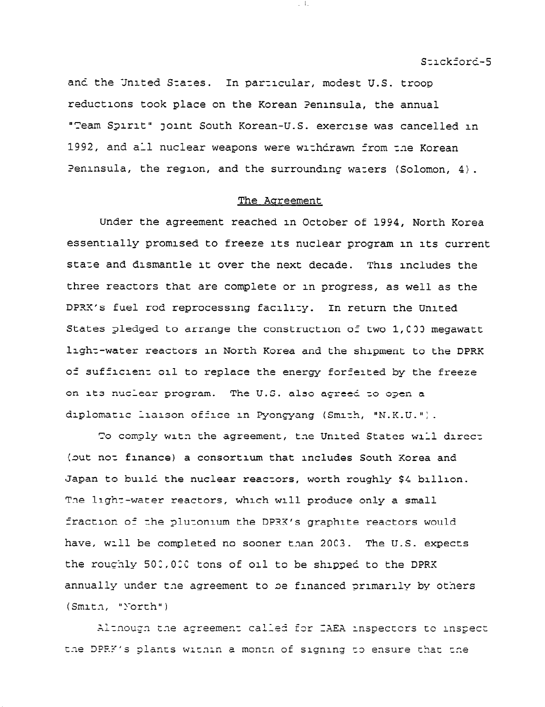and the United States. In particular, modest U.S. troop reductions took place on the Korean Peninsula, the annual "Team Spirit" joint South Korean-U.S. exercise was cancelled in 1992, and all nuclear weapons were withdrawn from the Korean Peninsula, the region, and the surrounding waters (Solomon,  $4$ ).

 $-1$ 

#### The Agreement

Under the agreement reached in October of 1994, North Korea essentially promised to freeze its nuclear program in its current state and dismantle it over the next decade. This includes the three reactors that are complete or in progress, as well as the DPRX's fuel rod reprocessing facility. In return the United States pledged to arrange the construction of two 1,000 megawatt light-water reactors in North Korea and the shipment to the DPRK of sufficient oil to replace the energy forfeited by the freeze on its nuclear program. The U.S. also agreed to open a diplomatic liaison office in Pyongyang (Smith, "N.K.U.").

To comply with the agreement, the United States will direct (out not finance) a consortium that includes South Korea and Japan to build the nuclear reactors, worth roughly \$4 billion. The light-water reactors, which will produce only a small fraction of the plutonium the DPRX's graphite reactors would have, will be completed no sooner than 2003. The U.S. expects the roughly 500,000 tons of oil to be shipped to the DPRX annually under the agreement to be financed primarily by others (Smith, "North")

Altnough the agreement called for IAEA inspectors to inspect the DPRF's plants within a month of signing to ensure that the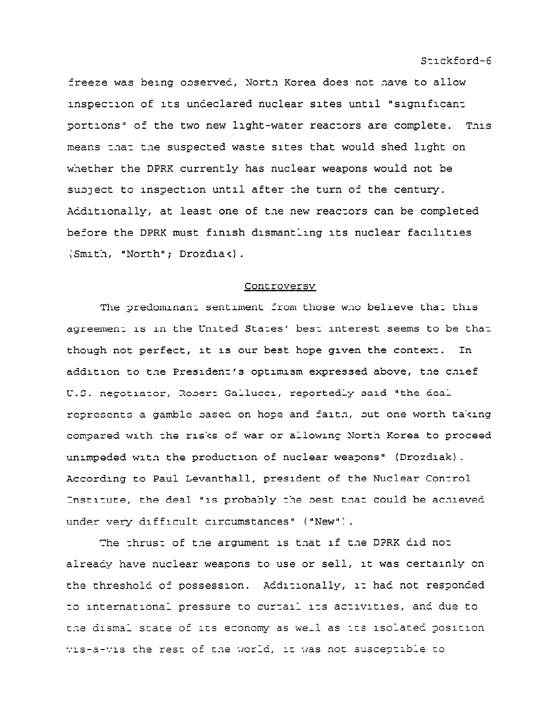freeze was being observed, North Korea does not have to allow inspection of its undeclared nuclear sites until "significant portions" of the two new light-water reactors are complete. This means that the suspected waste sites that would shed light on whether the DPRK currently has nuclear weapons would not be subject to inspection until after the turn of the century. Additionally, at least one of the new reactors can be completed before the DPRK must finish dismantling its nuclear facilities (Smith, "North"; Drozdiak).

#### Controversy

The predominant sentiment from those who believe that this agreement is in the United States' best interest seems to be that though not perfect, it is our best hope given the context. In addition to the President's optimism expressed above, the chief U.S. negotiator, Robert Gallucci, reportedly said "the deal represents a gamble based on hope and faith, but one worth taking compared with the risks of war or allowing North Korea to proceed unimpeded with the production of nuclear weapons" (Drozdiak). According to Paul Levanthall, president of the Nuclear Control Institute, the deal "is probably the best that could be achieved under very difficult circumstances" ("New").

The thrust of the argument is that if the DPRK did not already have nuclear weapons to use or sell, it was certainly on the threshold of possession. Additionally, it had not responded to international pressure to curtail its activities, and due to the dismal state of its economy as well as its isolated position vis-a-vis the rest of the world, it was not susceptible to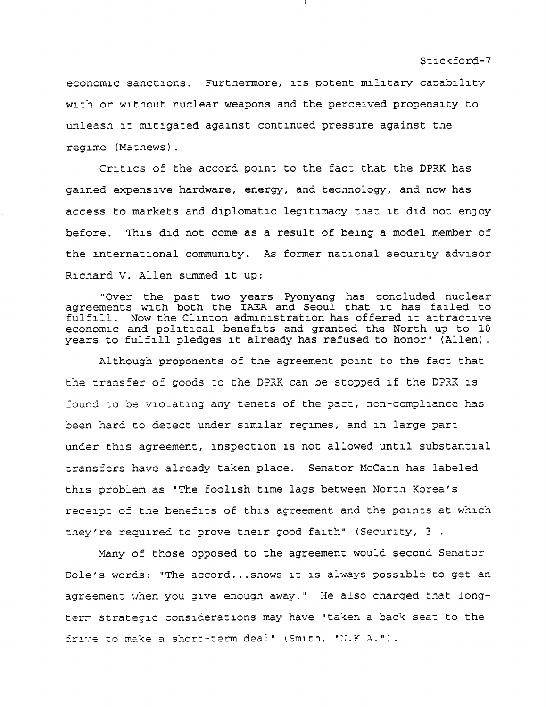economic sanctions. Furtnermore, its potent military capability with or without nuclear weapons and the perceived propensity to unleasn it mitigated against continued pressure against the regime (Mathews).

Critics of the accord point to the fact that the DPRK has gained expensive hardware, energy, and technology, and now has access to markets and diplomatic legitimacy that it did not enjoy before. This did not come as a result of being a model member of the international community. As former national security advisor Richard V. Allen summed it up:

"Over the past two years Pyonyang has concluded nuclear<br>agreements with both the IAEA and Seoul that it has failed to fulfill. Now the Clinton administration has offered it attractive economic and political benefits and granted the North up to 10 years to fulfill pledges it already has refused to honor" (Allen).

Although proponents of the agreement point to the fact that the transfer of goods to the DPRK can be stopped if the DPRK is found to be vio\_ating any tenets of the pact, non-compliance has been hard to detect under similar regimes, and in large part under this agreement, inspection is not allowed until substantial transfers have already taken place. Senator McCain has labeled this problem as "The foolish time lags between North Korea's receipt of the benefits of this agreement and the points at which they're required to prove their good faith" (Security, 3.

Many of those opposed to the agreement would second Senator Dole's words: "The accord... shows it is always possible to get an agreement when you give enough away." He also charged that longterm strategic considerations may have "taken a back seat to the drive to make a short-term deal" (Smith, "N.F A.").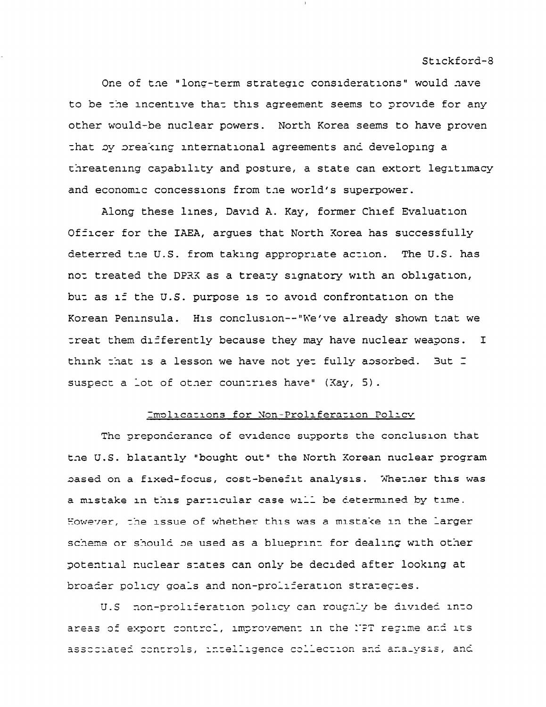One of the "long-term strategic considerations" would have to be the incentive that this agreement seems to provide for any other would-be nuclear powers. North Korea seems to have proven that by preaking international agreements and developing a threatening capability and posture, a state can extort legitimacy and economic concessions from the world's superpower.

Along these lines, David A. Kay, former Chief Evaluation Officer for the IAEA, argues that North Korea has successfully deterred the U.S. from taking appropriate action. The U.S. has not treated the DPRX as a treaty signatory with an obligation, but as if the U.S. purpose is to avoid confrontation on the Korean Peninsula. His conclusion--"We've already shown that we treat them differently because they may have nuclear weapons.  $\mathbf I$ think that is a lesson we have not yet fully absorbed. But I suspect a lot of other countries have" (Kay, 5).

#### Implications for Non-Proliferation Policy

The preponderance of evidence supports the conclusion that the U.S. blatantly "bought out" the North Korean nuclear program based on a fixed-focus, cost-benefit analysis. Whether this was a mistake in this particular case will be determined by time. However, the issue of whether this was a mistake in the larger scheme or should be used as a blueprint for dealing with other potential nuclear states can only be decided after looking at broader policy goals and non-proliferation strategies.

U.S non-proliferation policy can roughly be divided into areas of export control, improvement in the NPT regime and its associated controls, intelligence collection and analysis, and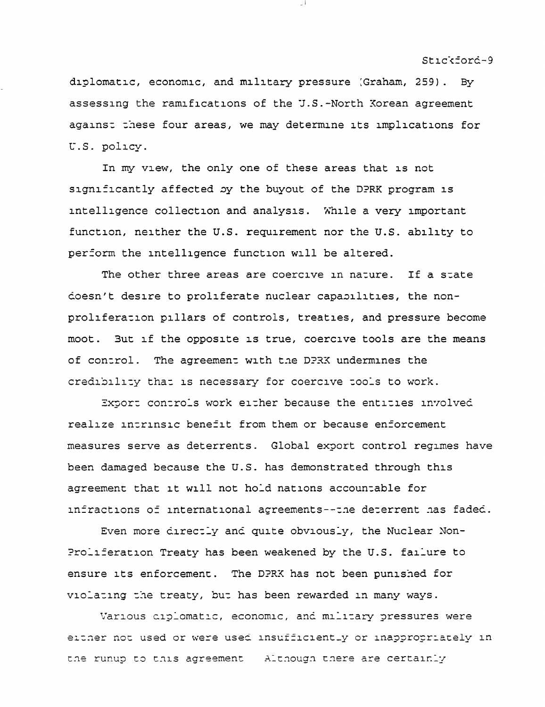diplomatic, economic, and military pressure (Graham, 259). By assessing the ramifications of the J.S.-North Korean agreement against these four areas, we may determine its implications for U.S. policy.

In my view, the only one of these areas that is not significantly affected by the buyout of the DPRK program is intelligence collection and analysis. While a very important function, neither the U.S. requirement nor the U.S. ability to perform the intelligence function will be altered.

The other three areas are coercive in nature. If a state doesn't desire to proliferate nuclear capabilities, the nonproliferation pillars of controls, treaties, and pressure become moot. But if the opposite is true, coercive tools are the means of control. The agreement with the DPRX undermines the credibility that is necessary for coercive tools to work.

Export controls work either because the entities involved realize intrinsic benefit from them or because enforcement measures serve as deterrents. Global export control regimes have been damaged because the U.S. has demonstrated through this agreement that it will not hold nations accountable for infractions of international agreements--the deterrent has faded.

Even more directly and quite obviously, the Nuclear Non-Proliferation Treaty has been weakened by the U.S. failure to ensure its enforcement. The DPRK has not been punished for violating the treaty, but has been rewarded in many ways.

Various ciplomatic, economic, and military pressures were either not used or were used insufficient\_y or inappropriately in the runup to this agreement Although there are certainly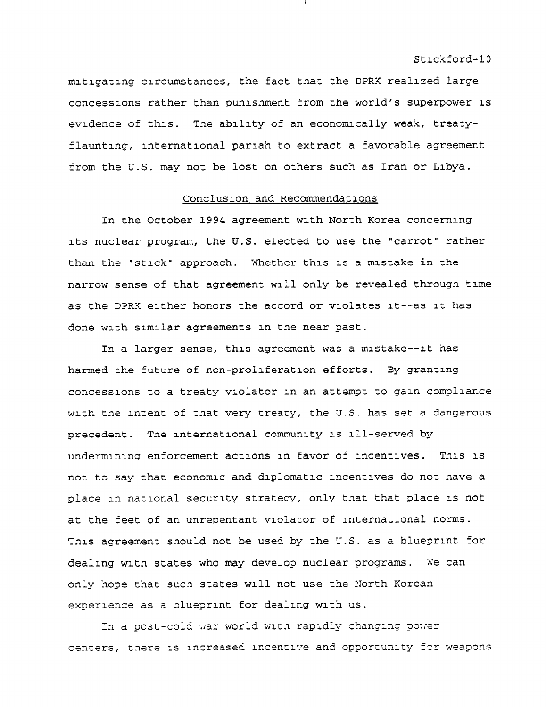mitigating circumstances, the fact that the DPRK realized large concessions rather than punis.ment from the world's superpower is evidence of this. Tne ability of an economically weak, treazyflaunting, international pariah to extract a favorable agreement from the U.S. may not be lost on others such as Iran or Libya.

#### Conclusion and Recommendations

In the October 1994 agreement with North Korea concerning its nuclear program, the U.S. elected to use the "carrot" rather than the "stick" approach. Whether this is a mistake in the narrow sense of that agreement will only be revealed through time as the DPRX either honors the accord or violates it--as it has done with similar agreements in the near past.

In a larger sense, this agreement was a mistake--it has harmed the future of non-proliferation efforts. By granting concessions to a treaty violator in an attempt to gain compliance with the intent of that very treaty, the U.S. has set a dangerous precedent. Tne international community is ill-served by undermining enforcement actions in favor of incentives. This is not to say that economic and diplomatic incentives do not have a place in national security strategy, only that that place is not at the feet of an unrepentant violasor of international norms. This agreement should not be used by the U.S. as a blueprint for dealing with states who may develop nuclear programs. We can only hope that sucn szates will not use zhe North Korean experience as a plueprint for dealing with us.

In a post-cold war world with rapidly changing power centers, there is increased incentive and opportunity for weapons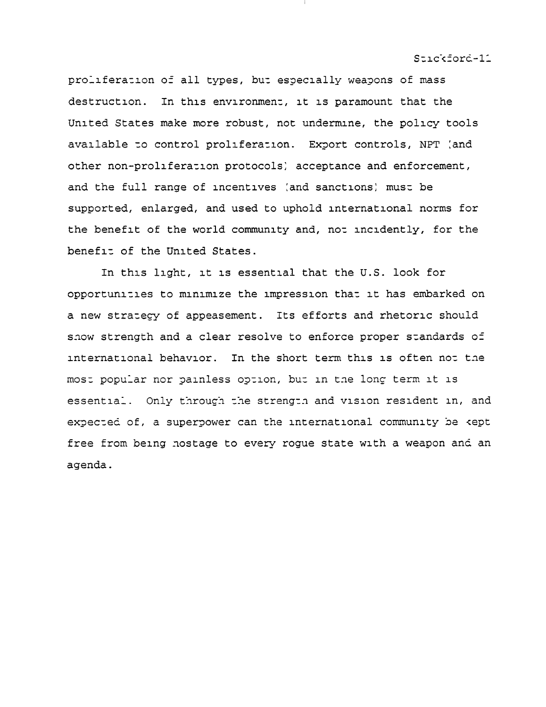proliferation of all types, but especially weapons of mass In this environment, it is paramount that the destruction. United States make more robust, not undermine, the policy tools available to control proliferation. Export controls, NPT (and other non-proliferation protocols) acceptance and enforcement, and the full range of incentives (and sanctions) must be supported, enlarged, and used to uphold international norms for the benefit of the world community and, not incidently, for the benefit of the United States.

In this light, it is essential that the U.S. look for opportunities to minimize the impression that it has embarked on a new stratecy of appeasement. Its efforts and rhetoric should show strength and a clear resolve to enforce proper standards of international behavior. In the short term this is often not the most popular nor painless option, but in the long term it is essential. Only through the strength and vision resident in, and expected of, a superpower can the international community be kept free from being nostage to every rogue state with a weapon and an agenda.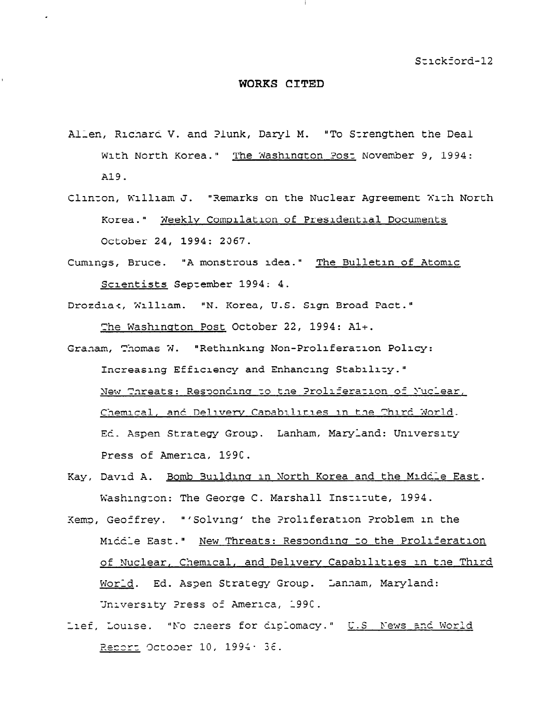#### WORKS CITED

- Allen, Richard V. and Plunk, Daryl M. "To Strengthen the Deal With North Korea." The Washington Post November 9, 1994: A19.
- Clinton, William J. "Remarks on the Nuclear Agreement With North Korea." Weekly Compilation of Presidential Documents October 24, 1994: 2067.
- Cumings, Bruce. "A monstrous idea." The Bulletin of Atomic Scientists September 1994: 4.
- Drozdiak, William. "N. Korea, U.S. Sign Broad Pact." The Washington Post October 22, 1994: A1+.
- Granam, Thomas W. "Rethinking Non-Proliferation Policy: Increasing Efficiency and Enhancing Stability." New Threats: Responding to the Proliferation of Nuclear, Chemical, and Delivery Capabilities in the Third World. Ed. Aspen Strategy Group. Lanham, Maryland: University Press of America, 1990.
- Kay, David A. Bomb Building in North Korea and the Middle East. Washington: The George C. Marshall Institute, 1994.
- Kemp, Geoffrey. "'Solving' the Proliferation Problem in the Middle East." New Threats: Responding to the Proliferation of Nuclear, Chemical, and Delivery Capabilities in the Third Morid. Ed. Aspen Strategy Group. Lannam, Maryland: University Press of America, 1990.
- Lief, Louise. "No cheers for diplomacy." U.S. News and World Report October 10, 1994, 36.